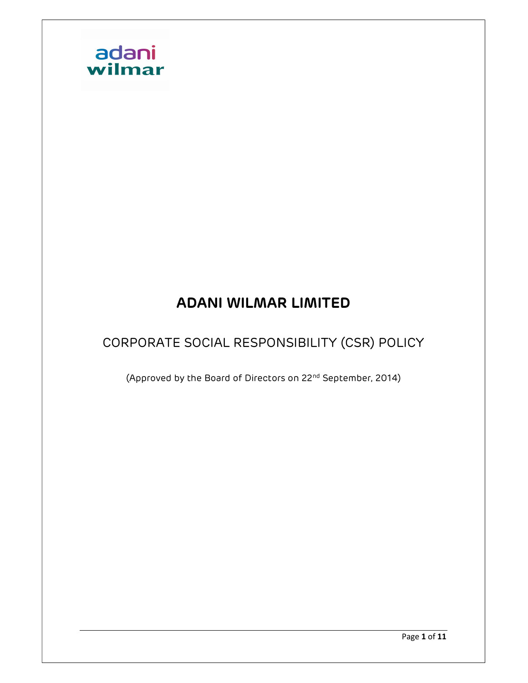

## ADANI WILMAR LIMITED

## CORPORATE SOCIAL RESPONSIBILITY (CSR) POLICY

(Approved by the Board of Directors on 22nd September, 2014)

Page 1 of 11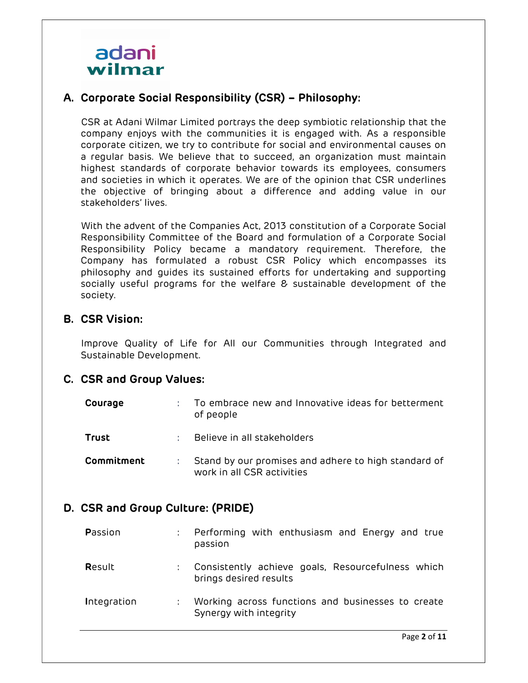

## A. Corporate Social Responsibility (CSR) – Philosophy:

CSR at Adani Wilmar Limited portrays the deep symbiotic relationship that the company enjoys with the communities it is engaged with. As a responsible corporate citizen, we try to contribute for social and environmental causes on a regular basis. We believe that to succeed, an organization must maintain highest standards of corporate behavior towards its employees, consumers and societies in which it operates. We are of the opinion that CSR underlines the objective of bringing about a difference and adding value in our stakeholders' lives.

With the advent of the Companies Act, 2013 constitution of a Corporate Social Responsibility Committee of the Board and formulation of a Corporate Social Responsibility Policy became a mandatory requirement. Therefore, the Company has formulated a robust CSR Policy which encompasses its philosophy and guides its sustained efforts for undertaking and supporting socially useful programs for the welfare & sustainable development of the society.

## B. CSR Vision:

Improve Quality of Life for All our Communities through Integrated and Sustainable Development.

## C. CSR and Group Values:

| Courage    | To embrace new and Innovative ideas for betterment<br>of people                    |
|------------|------------------------------------------------------------------------------------|
| Trust      | Believe in all stakeholders                                                        |
| Commitment | Stand by our promises and adhere to high standard of<br>work in all CSR activities |

## D. CSR and Group Culture: (PRIDE)

| Passion     | $\mathbb{Z}^{\mathbb{Z}}$ | Performing with enthusiasm and Energy and true<br>passion                   |
|-------------|---------------------------|-----------------------------------------------------------------------------|
| Result      | $\mathbb{Z}^{\mathbb{Z}}$ | Consistently achieve goals, Resourcefulness which<br>brings desired results |
| Integration |                           | Working across functions and businesses to create<br>Synergy with integrity |
|             |                           | <b>D D</b> .                                                                |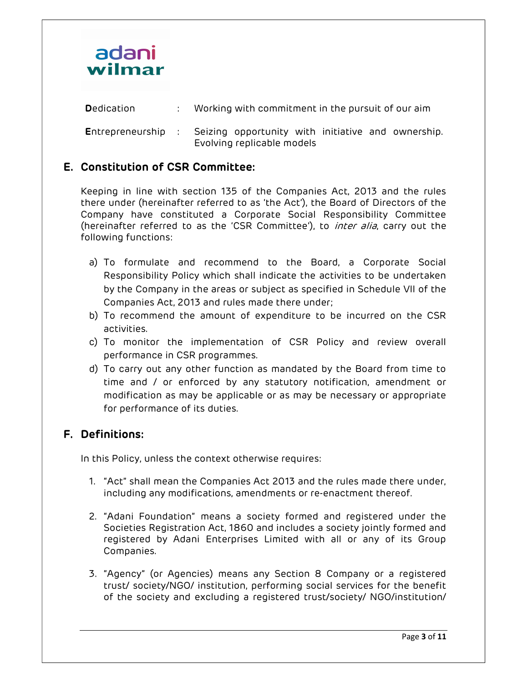

| Dedication                 | Working with commitment in the pursuit of our aim |                                                                                  |  |  |  |  |  |  |
|----------------------------|---------------------------------------------------|----------------------------------------------------------------------------------|--|--|--|--|--|--|
| <b>E</b> ntrepreneurship : |                                                   | Seizing opportunity with initiative and ownership.<br>Evolving replicable models |  |  |  |  |  |  |

## E. Constitution of CSR Committee:

Keeping in line with section 135 of the Companies Act, 2013 and the rules there under (hereinafter referred to as 'the Act'), the Board of Directors of the Company have constituted a Corporate Social Responsibility Committee (hereinafter referred to as the 'CSR Committee'), to *inter alia*, carry out the following functions:

- a) To formulate and recommend to the Board, a Corporate Social Responsibility Policy which shall indicate the activities to be undertaken by the Company in the areas or subject as specified in Schedule VII of the Companies Act, 2013 and rules made there under;
- b) To recommend the amount of expenditure to be incurred on the CSR activities.
- c) To monitor the implementation of CSR Policy and review overall performance in CSR programmes.
- d) To carry out any other function as mandated by the Board from time to time and / or enforced by any statutory notification, amendment or modification as may be applicable or as may be necessary or appropriate for performance of its duties.

## F. Definitions:

In this Policy, unless the context otherwise requires:

- 1. "Act" shall mean the Companies Act 2013 and the rules made there under, including any modifications, amendments or re-enactment thereof.
- 2. "Adani Foundation" means a society formed and registered under the Societies Registration Act, 1860 and includes a society jointly formed and registered by Adani Enterprises Limited with all or any of its Group Companies.
- 3. "Agency" (or Agencies) means any Section 8 Company or a registered trust/ society/NGO/ institution, performing social services for the benefit of the society and excluding a registered trust/society/ NGO/institution/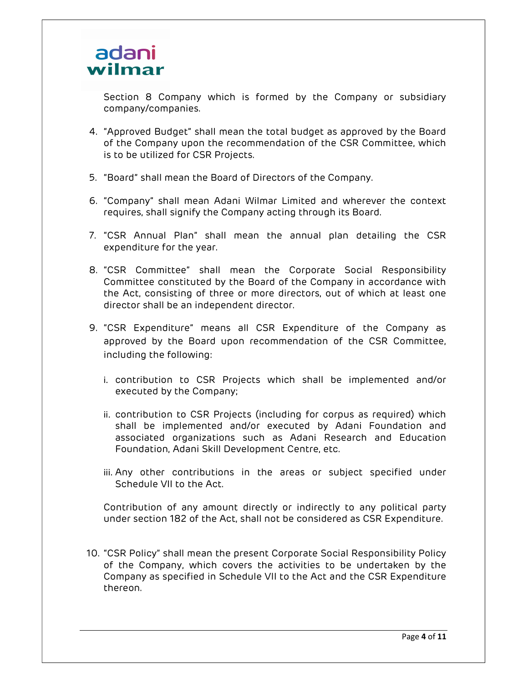

Section 8 Company which is formed by the Company or subsidiary company/companies.

- 4. "Approved Budget" shall mean the total budget as approved by the Board of the Company upon the recommendation of the CSR Committee, which is to be utilized for CSR Projects.
- 5. "Board" shall mean the Board of Directors of the Company.
- 6. "Company" shall mean Adani Wilmar Limited and wherever the context requires, shall signify the Company acting through its Board.
- 7. "CSR Annual Plan" shall mean the annual plan detailing the CSR expenditure for the year.
- 8. "CSR Committee" shall mean the Corporate Social Responsibility Committee constituted by the Board of the Company in accordance with the Act, consisting of three or more directors, out of which at least one director shall be an independent director.
- 9. "CSR Expenditure" means all CSR Expenditure of the Company as approved by the Board upon recommendation of the CSR Committee, including the following:
	- i. contribution to CSR Projects which shall be implemented and/or executed by the Company;
	- ii. contribution to CSR Projects (including for corpus as required) which shall be implemented and/or executed by Adani Foundation and associated organizations such as Adani Research and Education Foundation, Adani Skill Development Centre, etc.
	- iii. Any other contributions in the areas or subject specified under Schedule VII to the Act.

Contribution of any amount directly or indirectly to any political party under section 182 of the Act, shall not be considered as CSR Expenditure.

10. "CSR Policy" shall mean the present Corporate Social Responsibility Policy of the Company, which covers the activities to be undertaken by the Company as specified in Schedule VII to the Act and the CSR Expenditure thereon.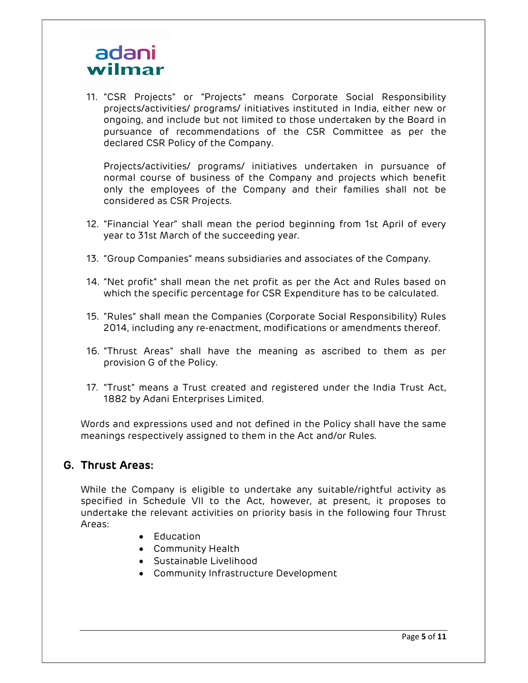# adani wilmar

11. "CSR Projects" or "Projects" means Corporate Social Responsibility projects/activities/ programs/ initiatives instituted in India, either new or ongoing, and include but not limited to those undertaken by the Board in pursuance of recommendations of the CSR Committee as per the declared CSR Policy of the Company.

Projects/activities/ programs/ initiatives undertaken in pursuance of normal course of business of the Company and projects which benefit only the employees of the Company and their families shall not be considered as CSR Projects.

- 12. "Financial Year" shall mean the period beginning from 1st April of every year to 31st March of the succeeding year.
- 13. "Group Companies" means subsidiaries and associates of the Company.
- 14. "Net profit" shall mean the net profit as per the Act and Rules based on which the specific percentage for CSR Expenditure has to be calculated.
- 15. "Rules" shall mean the Companies (Corporate Social Responsibility) Rules 2014, including any re-enactment, modifications or amendments thereof.
- 16. "Thrust Areas" shall have the meaning as ascribed to them as per provision G of the Policy.
- 17. "Trust" means a Trust created and registered under the India Trust Act, 1882 by Adani Enterprises Limited.

Words and expressions used and not defined in the Policy shall have the same meanings respectively assigned to them in the Act and/or Rules.

## G. Thrust Areas:

While the Company is eligible to undertake any suitable/rightful activity as specified in Schedule VII to the Act, however, at present, it proposes to undertake the relevant activities on priority basis in the following four Thrust Areas:

- Education
- Community Health
- Sustainable Livelihood
- Community Infrastructure Development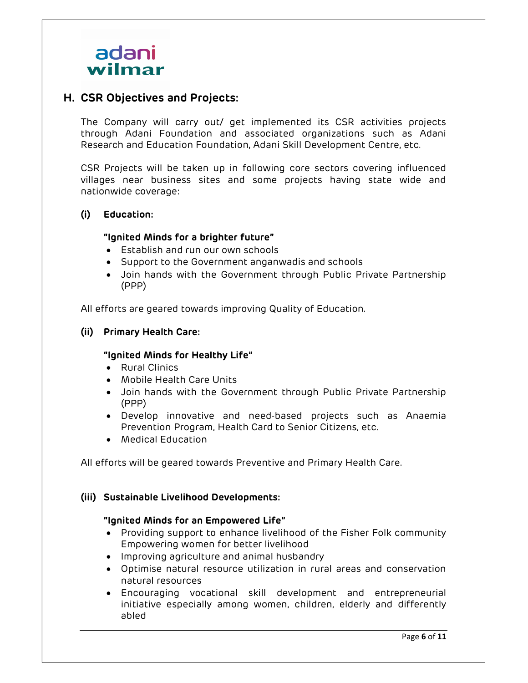

## H. CSR Objectives and Projects:

The Company will carry out/ get implemented its CSR activities projects through Adani Foundation and associated organizations such as Adani Research and Education Foundation, Adani Skill Development Centre, etc.

CSR Projects will be taken up in following core sectors covering influenced villages near business sites and some projects having state wide and nationwide coverage:

#### (i) Education:

#### "Ignited Minds for a brighter future"

- Establish and run our own schools
- Support to the Government anganwadis and schools
- Join hands with the Government through Public Private Partnership (PPP)

All efforts are geared towards improving Quality of Education.

#### (ii) Primary Health Care:

#### "Ignited Minds for Healthy Life"

- Rural Clinics
- Mobile Health Care Units
- Join hands with the Government through Public Private Partnership (PPP)
- Develop innovative and need-based projects such as Anaemia Prevention Program, Health Card to Senior Citizens, etc.
- Medical Education

All efforts will be geared towards Preventive and Primary Health Care.

#### (iii) Sustainable Livelihood Developments:

#### "Ignited Minds for an Empowered Life"

- Providing support to enhance livelihood of the Fisher Folk community Empowering women for better livelihood
- Improving agriculture and animal husbandry
- Optimise natural resource utilization in rural areas and conservation natural resources
- Encouraging vocational skill development and entrepreneurial initiative especially among women, children, elderly and differently abled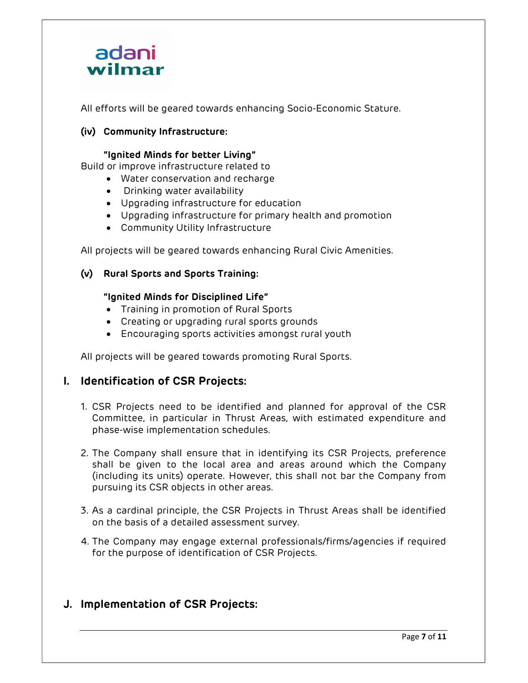

All efforts will be geared towards enhancing Socio-Economic Stature.

#### (iv) Community Infrastructure:

#### "Ignited Minds for better Living"

Build or improve infrastructure related to

- Water conservation and recharge
- Drinking water availability
- Upgrading infrastructure for education
- Upgrading infrastructure for primary health and promotion
- Community Utility Infrastructure

All projects will be geared towards enhancing Rural Civic Amenities.

#### (v) Rural Sports and Sports Training:

#### "Ignited Minds for Disciplined Life"

- Training in promotion of Rural Sports
- Creating or upgrading rural sports grounds
- Encouraging sports activities amongst rural youth

All projects will be geared towards promoting Rural Sports.

## I. Identification of CSR Projects:

- 1. CSR Projects need to be identified and planned for approval of the CSR Committee, in particular in Thrust Areas, with estimated expenditure and phase-wise implementation schedules.
- 2. The Company shall ensure that in identifying its CSR Projects, preference shall be given to the local area and areas around which the Company (including its units) operate. However, this shall not bar the Company from pursuing its CSR objects in other areas.
- 3. As a cardinal principle, the CSR Projects in Thrust Areas shall be identified on the basis of a detailed assessment survey.
- 4. The Company may engage external professionals/firms/agencies if required for the purpose of identification of CSR Projects.

## J. Implementation of CSR Projects: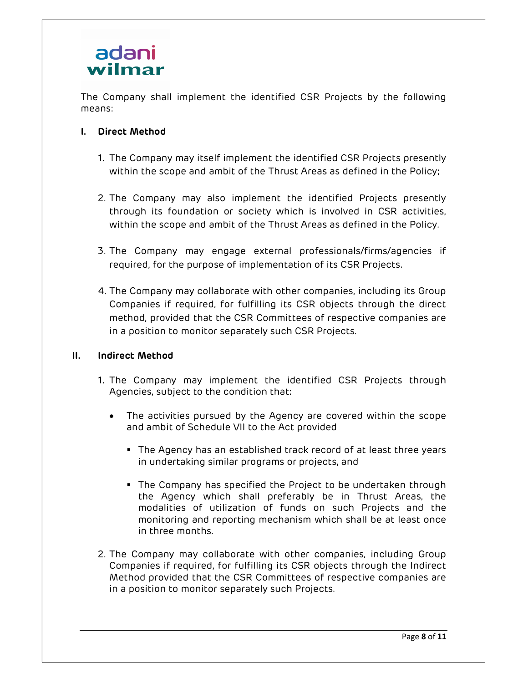## adani wilmar

The Company shall implement the identified CSR Projects by the following means:

## I. Direct Method

- 1. The Company may itself implement the identified CSR Projects presently within the scope and ambit of the Thrust Areas as defined in the Policy;
- 2. The Company may also implement the identified Projects presently through its foundation or society which is involved in CSR activities, within the scope and ambit of the Thrust Areas as defined in the Policy.
- 3. The Company may engage external professionals/firms/agencies if required, for the purpose of implementation of its CSR Projects.
- 4. The Company may collaborate with other companies, including its Group Companies if required, for fulfilling its CSR objects through the direct method, provided that the CSR Committees of respective companies are in a position to monitor separately such CSR Projects.

## II. Indirect Method

- 1. The Company may implement the identified CSR Projects through Agencies, subject to the condition that:
	- The activities pursued by the Agency are covered within the scope and ambit of Schedule VII to the Act provided
		- The Agency has an established track record of at least three years in undertaking similar programs or projects, and
		- The Company has specified the Project to be undertaken through the Agency which shall preferably be in Thrust Areas, the modalities of utilization of funds on such Projects and the monitoring and reporting mechanism which shall be at least once in three months.
- 2. The Company may collaborate with other companies, including Group Companies if required, for fulfilling its CSR objects through the Indirect Method provided that the CSR Committees of respective companies are in a position to monitor separately such Projects.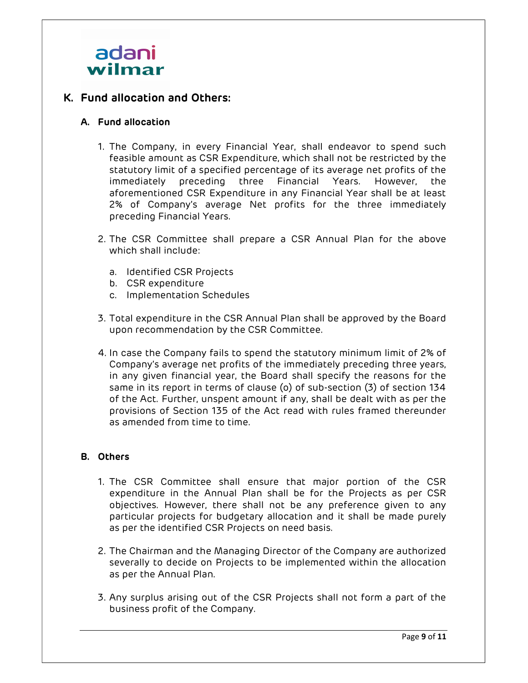

## K. Fund allocation and Others:

#### A. Fund allocation

- 1. The Company, in every Financial Year, shall endeavor to spend such feasible amount as CSR Expenditure, which shall not be restricted by the statutory limit of a specified percentage of its average net profits of the immediately preceding three Financial Years. However, the aforementioned CSR Expenditure in any Financial Year shall be at least 2% of Company's average Net profits for the three immediately preceding Financial Years.
- 2. The CSR Committee shall prepare a CSR Annual Plan for the above which shall include:
	- a. Identified CSR Projects
	- b. CSR expenditure
	- c. Implementation Schedules
- 3. Total expenditure in the CSR Annual Plan shall be approved by the Board upon recommendation by the CSR Committee.
- 4. In case the Company fails to spend the statutory minimum limit of 2% of Company's average net profits of the immediately preceding three years, in any given financial year, the Board shall specify the reasons for the same in its report in terms of clause (o) of sub-section (3) of section 134 of the Act. Further, unspent amount if any, shall be dealt with as per the provisions of Section 135 of the Act read with rules framed thereunder as amended from time to time.

#### B. Others

- 1. The CSR Committee shall ensure that major portion of the CSR expenditure in the Annual Plan shall be for the Projects as per CSR objectives. However, there shall not be any preference given to any particular projects for budgetary allocation and it shall be made purely as per the identified CSR Projects on need basis.
- 2. The Chairman and the Managing Director of the Company are authorized severally to decide on Projects to be implemented within the allocation as per the Annual Plan.
- 3. Any surplus arising out of the CSR Projects shall not form a part of the business profit of the Company.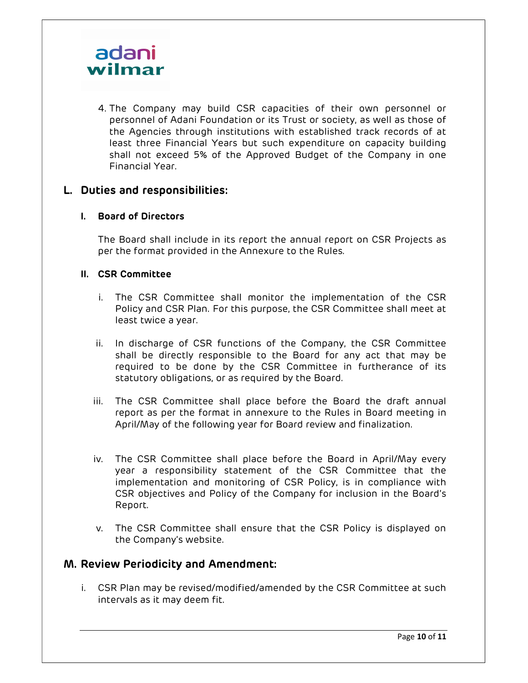

4. The Company may build CSR capacities of their own personnel or personnel of Adani Foundation or its Trust or society, as well as those of the Agencies through institutions with established track records of at least three Financial Years but such expenditure on capacity building shall not exceed 5% of the Approved Budget of the Company in one Financial Year.

## L. Duties and responsibilities:

#### I. Board of Directors

The Board shall include in its report the annual report on CSR Projects as per the format provided in the Annexure to the Rules.

#### II. CSR Committee

- i. The CSR Committee shall monitor the implementation of the CSR Policy and CSR Plan. For this purpose, the CSR Committee shall meet at least twice a year.
- ii. In discharge of CSR functions of the Company, the CSR Committee shall be directly responsible to the Board for any act that may be required to be done by the CSR Committee in furtherance of its statutory obligations, or as required by the Board.
- iii. The CSR Committee shall place before the Board the draft annual report as per the format in annexure to the Rules in Board meeting in April/May of the following year for Board review and finalization.
- iv. The CSR Committee shall place before the Board in April/May every year a responsibility statement of the CSR Committee that the implementation and monitoring of CSR Policy, is in compliance with CSR objectives and Policy of the Company for inclusion in the Board's Report.
- v. The CSR Committee shall ensure that the CSR Policy is displayed on the Company's website.

## M. Review Periodicity and Amendment:

i. CSR Plan may be revised/modified/amended by the CSR Committee at such intervals as it may deem fit.